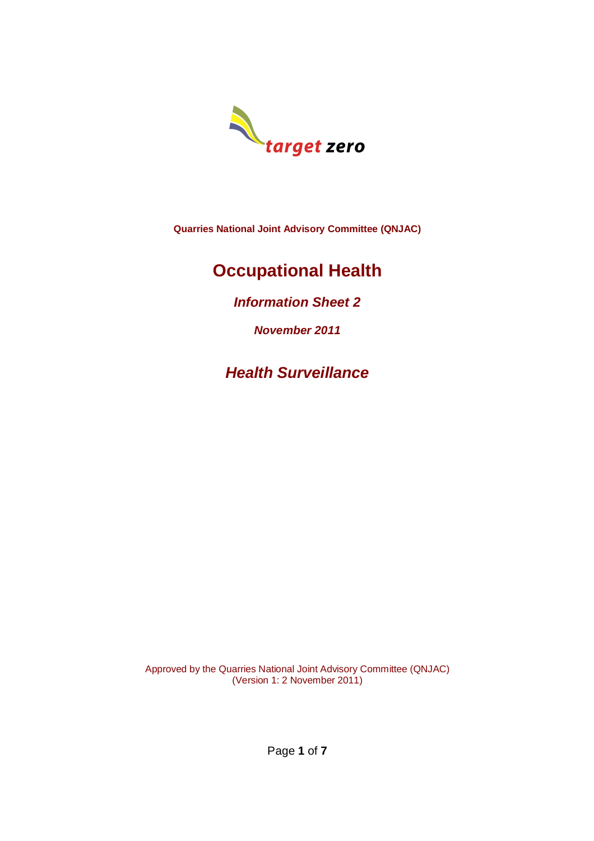

**Quarries National Joint Advisory Committee (QNJAC)**

# **Occupational Health**

*Information Sheet 2*

*November 2011*

*Health Surveillance*

Approved by the Quarries National Joint Advisory Committee (QNJAC) (Version 1: 2 November 2011)

Page **1** of **7**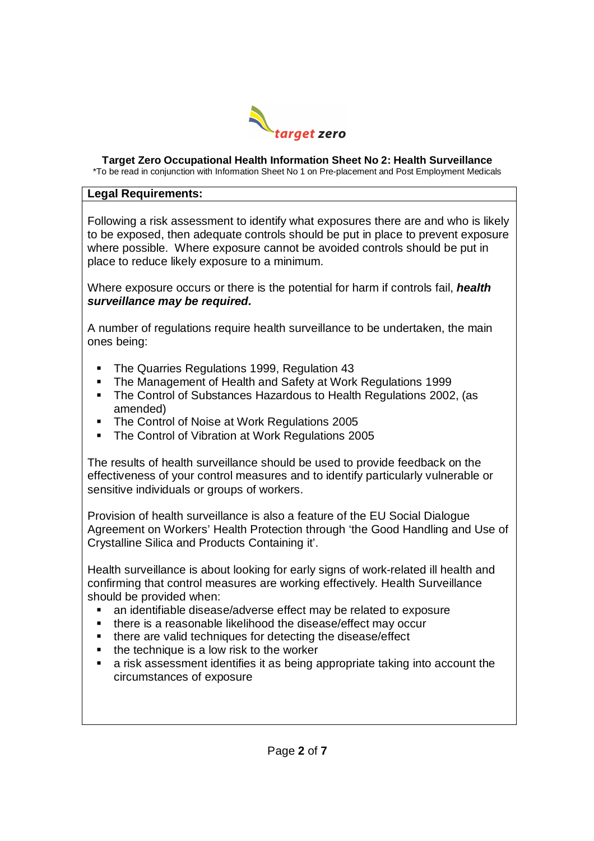

#### **Target Zero Occupational Health Information Sheet No 2: Health Surveillance**

\*To be read in conjunction with Information Sheet No 1 on Pre-placement and Post Employment Medicals

#### **Legal Requirements:**

Following a risk assessment to identify what exposures there are and who is likely to be exposed, then adequate controls should be put in place to prevent exposure where possible. Where exposure cannot be avoided controls should be put in place to reduce likely exposure to a minimum.

Where exposure occurs or there is the potential for harm if controls fail, *health surveillance may be required.*

A number of regulations require health surveillance to be undertaken, the main ones being:

- The Quarries Regulations 1999, Regulation 43
- **The Management of Health and Safety at Work Regulations 1999**
- The Control of Substances Hazardous to Health Regulations 2002, (as amended)
- **The Control of Noise at Work Regulations 2005**
- The Control of Vibration at Work Regulations 2005

The results of health surveillance should be used to provide feedback on the effectiveness of your control measures and to identify particularly vulnerable or sensitive individuals or groups of workers.

Provision of health surveillance is also a feature of the EU Social Dialogue Agreement on Workers' Health Protection through 'the Good Handling and Use of Crystalline Silica and Products Containing it'.

Health surveillance is about looking for early signs of work-related ill health and confirming that control measures are working effectively. Health Surveillance should be provided when:

- an identifiable disease/adverse effect may be related to exposure
- **there is a reasonable likelihood the disease/effect may occur**
- **follogier 1** there are valid techniques for detecting the disease/effect
- $\blacksquare$  the technique is a low risk to the worker
- a risk assessment identifies it as being appropriate taking into account the circumstances of exposure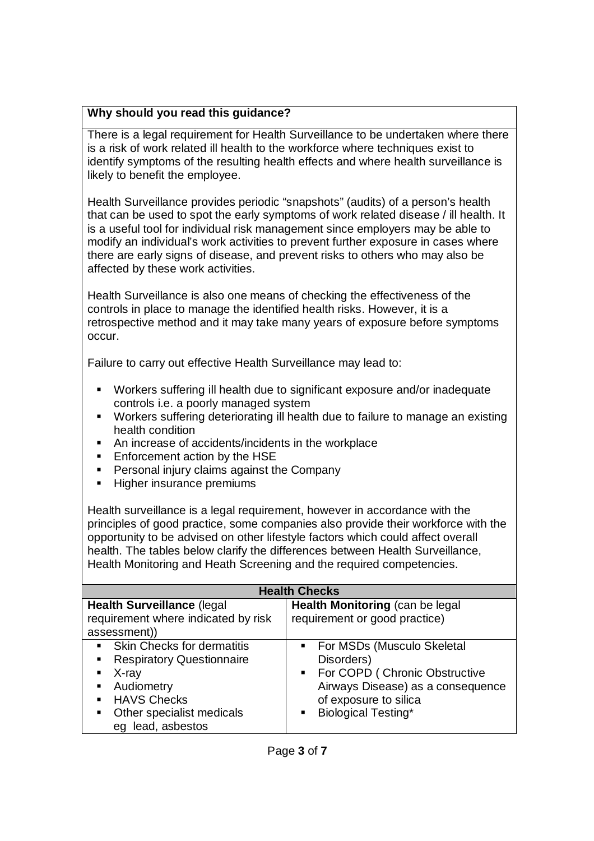## **Why should you read this guidance?**

There is a legal requirement for Health Surveillance to be undertaken where there is a risk of work related ill health to the workforce where techniques exist to identify symptoms of the resulting health effects and where health surveillance is likely to benefit the employee.

Health Surveillance provides periodic "snapshots" (audits) of a person's health that can be used to spot the early symptoms of work related disease / ill health. It is a useful tool for individual risk management since employers may be able to modify an individual's work activities to prevent further exposure in cases where there are early signs of disease, and prevent risks to others who may also be affected by these work activities.

Health Surveillance is also one means of checking the effectiveness of the controls in place to manage the identified health risks. However, it is a retrospective method and it may take many years of exposure before symptoms occur.

Failure to carry out effective Health Surveillance may lead to:

- Workers suffering ill health due to significant exposure and/or inadequate controls i.e. a poorly managed system
- Workers suffering deteriorating ill health due to failure to manage an existing health condition
- An increase of accidents/incidents in the workplace
- **Enforcement action by the HSE**
- **Personal injury claims against the Company**
- **Higher insurance premiums**

Health surveillance is a legal requirement, however in accordance with the principles of good practice, some companies also provide their workforce with the opportunity to be advised on other lifestyle factors which could affect overall health. The tables below clarify the differences between Health Surveillance, Health Monitoring and Heath Screening and the required competencies.

| <b>Health Checks</b>                |                                                 |  |
|-------------------------------------|-------------------------------------------------|--|
| <b>Health Surveillance (legal)</b>  | Health Monitoring (can be legal                 |  |
| requirement where indicated by risk | requirement or good practice)                   |  |
| assessment))                        |                                                 |  |
| • Skin Checks for dermatitis        | For MSDs (Musculo Skeletal<br>$\blacksquare$    |  |
| • Respiratory Questionnaire         | Disorders)                                      |  |
| $\blacksquare$ X-ray                | For COPD (Chronic Obstructive<br>$\blacksquare$ |  |
| • Audiometry                        | Airways Disease) as a consequence               |  |
| • HAVS Checks                       | of exposure to silica                           |  |
| • Other specialist medicals         | <b>Biological Testing*</b><br>٠                 |  |
| eg lead, asbestos                   |                                                 |  |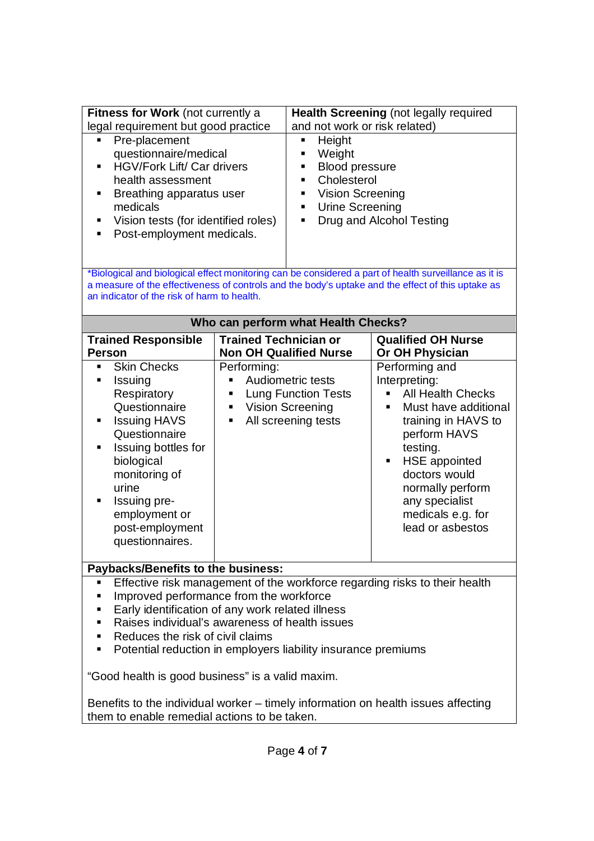| Fitness for Work (not currently a<br>legal requirement but good practice                                                                                                                                                                                                                                                                                                                                                                                                                                                                                |                                                                                                                                                                | Health Screening (not legally required                                                                                                                                                                                                                                   |  |
|---------------------------------------------------------------------------------------------------------------------------------------------------------------------------------------------------------------------------------------------------------------------------------------------------------------------------------------------------------------------------------------------------------------------------------------------------------------------------------------------------------------------------------------------------------|----------------------------------------------------------------------------------------------------------------------------------------------------------------|--------------------------------------------------------------------------------------------------------------------------------------------------------------------------------------------------------------------------------------------------------------------------|--|
| Pre-placement<br>Ξ<br>questionnaire/medical<br><b>HGV/Fork Lift/ Car drivers</b><br>٠<br>health assessment<br>Breathing apparatus user<br>٠<br>medicals<br>Vision tests (for identified roles)<br>п<br>Post-employment medicals.<br>$\blacksquare$                                                                                                                                                                                                                                                                                                      | Height<br>Ξ<br>Weight<br>٠<br>٠<br>$\blacksquare$<br>٠<br>٠                                                                                                    | and not work or risk related)<br><b>Blood pressure</b><br>Cholesterol<br>Vision Screening<br><b>Urine Screening</b><br>Drug and Alcohol Testing                                                                                                                          |  |
| *Biological and biological effect monitoring can be considered a part of health surveillance as it is<br>a measure of the effectiveness of controls and the body's uptake and the effect of this uptake as<br>an indicator of the risk of harm to health.                                                                                                                                                                                                                                                                                               |                                                                                                                                                                |                                                                                                                                                                                                                                                                          |  |
| Who can perform what Health Checks?                                                                                                                                                                                                                                                                                                                                                                                                                                                                                                                     |                                                                                                                                                                |                                                                                                                                                                                                                                                                          |  |
| <b>Trained Responsible</b><br><b>Person</b>                                                                                                                                                                                                                                                                                                                                                                                                                                                                                                             | <b>Trained Technician or</b><br><b>Non OH Qualified Nurse</b>                                                                                                  | <b>Qualified OH Nurse</b><br>Or OH Physician                                                                                                                                                                                                                             |  |
| <b>Skin Checks</b><br>п<br>Issuing<br>п<br>Respiratory<br>Questionnaire<br><b>Issuing HAVS</b><br>٠<br>Questionnaire<br>Issuing bottles for<br>$\blacksquare$<br>biological<br>monitoring of<br>urine<br>Issuing pre-<br>$\blacksquare$<br>employment or<br>post-employment<br>questionnaires.                                                                                                                                                                                                                                                          | Performing:<br>Audiometric tests<br>Ξ<br><b>Lung Function Tests</b><br>٠<br><b>Vision Screening</b><br>$\blacksquare$<br>All screening tests<br>$\blacksquare$ | Performing and<br>Interpreting:<br><b>All Health Checks</b><br>Must have additional<br>٠<br>training in HAVS to<br>perform HAVS<br>testing.<br><b>HSE</b> appointed<br>٠<br>doctors would<br>normally perform<br>any specialist<br>medicals e.g. for<br>lead or asbestos |  |
| Paybacks/Benefits to the business:                                                                                                                                                                                                                                                                                                                                                                                                                                                                                                                      |                                                                                                                                                                |                                                                                                                                                                                                                                                                          |  |
| Effective risk management of the workforce regarding risks to their health<br>п<br>Improved performance from the workforce<br>п<br>Early identification of any work related illness<br>п<br>Raises individual's awareness of health issues<br>٠<br>Reduces the risk of civil claims<br>п<br>Potential reduction in employers liability insurance premiums<br>п<br>"Good health is good business" is a valid maxim.<br>Benefits to the individual worker – timely information on health issues affecting<br>them to enable remedial actions to be taken. |                                                                                                                                                                |                                                                                                                                                                                                                                                                          |  |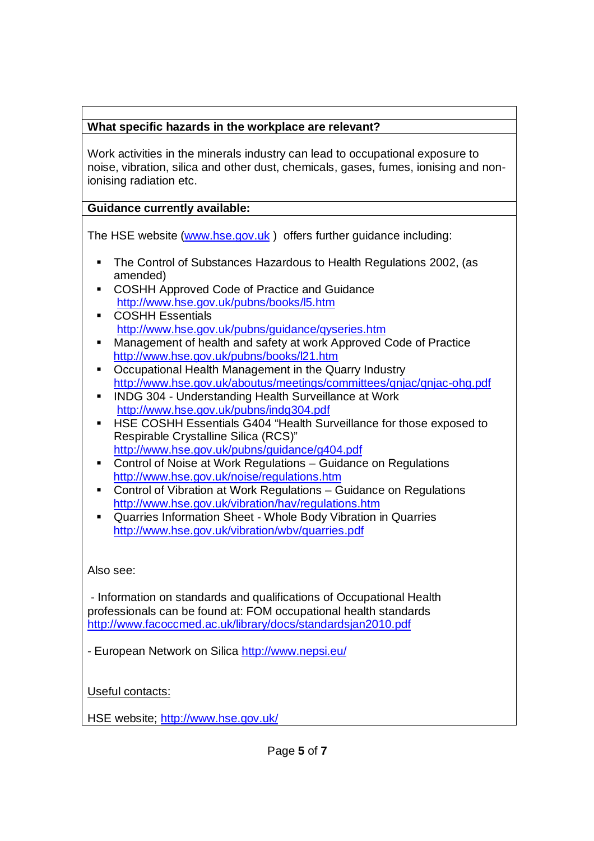# **What specific hazards in the workplace are relevant?**

Work activities in the minerals industry can lead to occupational exposure to noise, vibration, silica and other dust, chemicals, gases, fumes, ionising and nonionising radiation etc.

# **Guidance currently available:**

The HSE website (www.hse.gov.uk ) offers further guidance including:

- The Control of Substances Hazardous to Health Regulations 2002, (as amended)
- **COSHH Approved Code of Practice and Guidance** http://www.hse.gov.uk/pubns/books/l5.htm
- **COSHH Essentials** http://www.hse.gov.uk/pubns/guidance/qyseries.htm
- Management of health and safety at work Approved Code of Practice http://www.hse.gov.uk/pubns/books/l21.htm
- Occupational Health Management in the Quarry Industry http://www.hse.gov.uk/aboutus/meetings/committees/qnjac/qnjac-ohg.pdf
- **INDG 304 Understanding Health Surveillance at Work** http://www.hse.gov.uk/pubns/indg304.pdf
- **HSE COSHH Essentials G404 "Health Surveillance for those exposed to** Respirable Crystalline Silica (RCS)" http://www.hse.gov.uk/pubns/guidance/g404.pdf
- Control of Noise at Work Regulations Guidance on Regulations http://www.hse.gov.uk/noise/regulations.htm
- Control of Vibration at Work Regulations Guidance on Regulations http://www.hse.gov.uk/vibration/hav/regulations.htm
- Quarries Information Sheet Whole Body Vibration in Quarries http://www.hse.gov.uk/vibration/wbv/quarries.pdf

# Also see:

- Information on standards and qualifications of Occupational Health professionals can be found at: FOM occupational health standards http://www.facoccmed.ac.uk/library/docs/standardsjan2010.pdf

- European Network on Silica http://www.nepsi.eu/

Useful contacts:

HSE website; http://www.hse.gov.uk/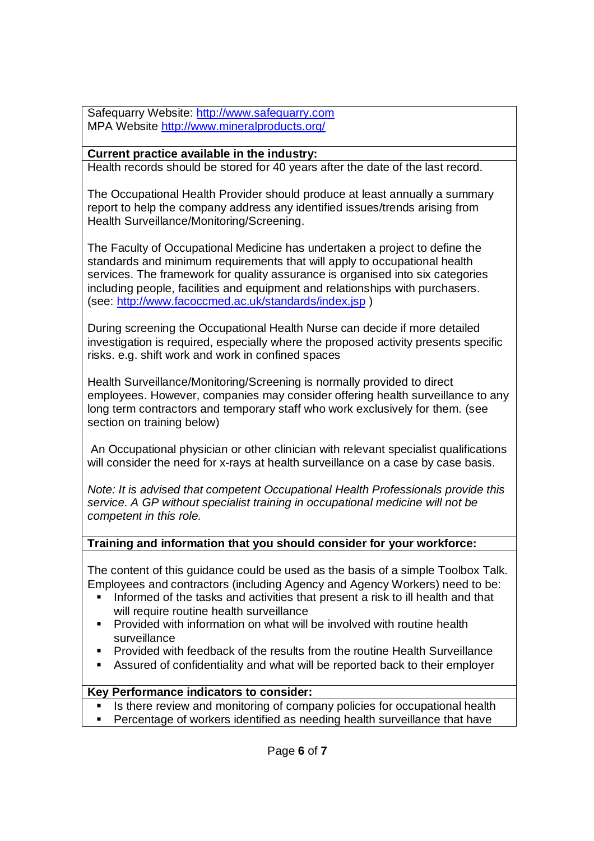Safequarry Website: http://www.safequarry.com MPA Website http://www.mineralproducts.org/

### **Current practice available in the industry:**

Health records should be stored for 40 years after the date of the last record.

The Occupational Health Provider should produce at least annually a summary report to help the company address any identified issues/trends arising from Health Surveillance/Monitoring/Screening.

The Faculty of Occupational Medicine has undertaken a project to define the standards and minimum requirements that will apply to occupational health services. The framework for quality assurance is organised into six categories including people, facilities and equipment and relationships with purchasers. (see: http://www.facoccmed.ac.uk/standards/index.jsp )

During screening the Occupational Health Nurse can decide if more detailed investigation is required, especially where the proposed activity presents specific risks. e.g. shift work and work in confined spaces

Health Surveillance/Monitoring/Screening is normally provided to direct employees. However, companies may consider offering health surveillance to any long term contractors and temporary staff who work exclusively for them. (see section on training below)

An Occupational physician or other clinician with relevant specialist qualifications will consider the need for x-rays at health surveillance on a case by case basis.

*Note: It is advised that competent Occupational Health Professionals provide this service. A GP without specialist training in occupational medicine will not be competent in this role.*

#### **Training and information that you should consider for your workforce:**

The content of this guidance could be used as the basis of a simple Toolbox Talk. Employees and contractors (including Agency and Agency Workers) need to be:

- Informed of the tasks and activities that present a risk to ill health and that will require routine health surveillance
- **Provided with information on what will be involved with routine health** surveillance
- Provided with feedback of the results from the routine Health Surveillance
- Assured of confidentiality and what will be reported back to their employer

#### **Key Performance indicators to consider:**

- Is there review and monitoring of company policies for occupational health
- **Percentage of workers identified as needing health surveillance that have**